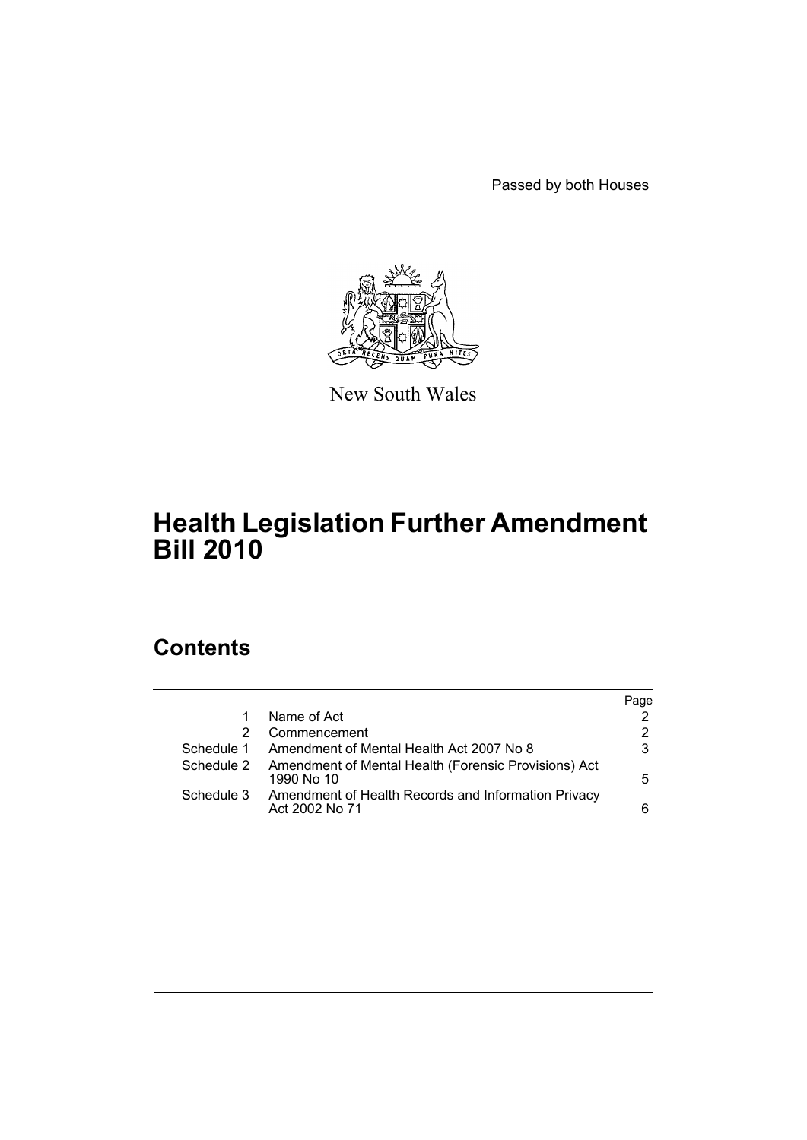Passed by both Houses



New South Wales

# **Health Legislation Further Amendment Bill 2010**

# **Contents**

|            |                                                                       | Page |
|------------|-----------------------------------------------------------------------|------|
|            | Name of Act                                                           | 2    |
|            | Commencement                                                          | 2    |
| Schedule 1 | Amendment of Mental Health Act 2007 No 8                              | 3    |
| Schedule 2 | Amendment of Mental Health (Forensic Provisions) Act<br>1990 No 10    | 5.   |
| Schedule 3 | Amendment of Health Records and Information Privacy<br>Act 2002 No 71 | 6    |
|            |                                                                       |      |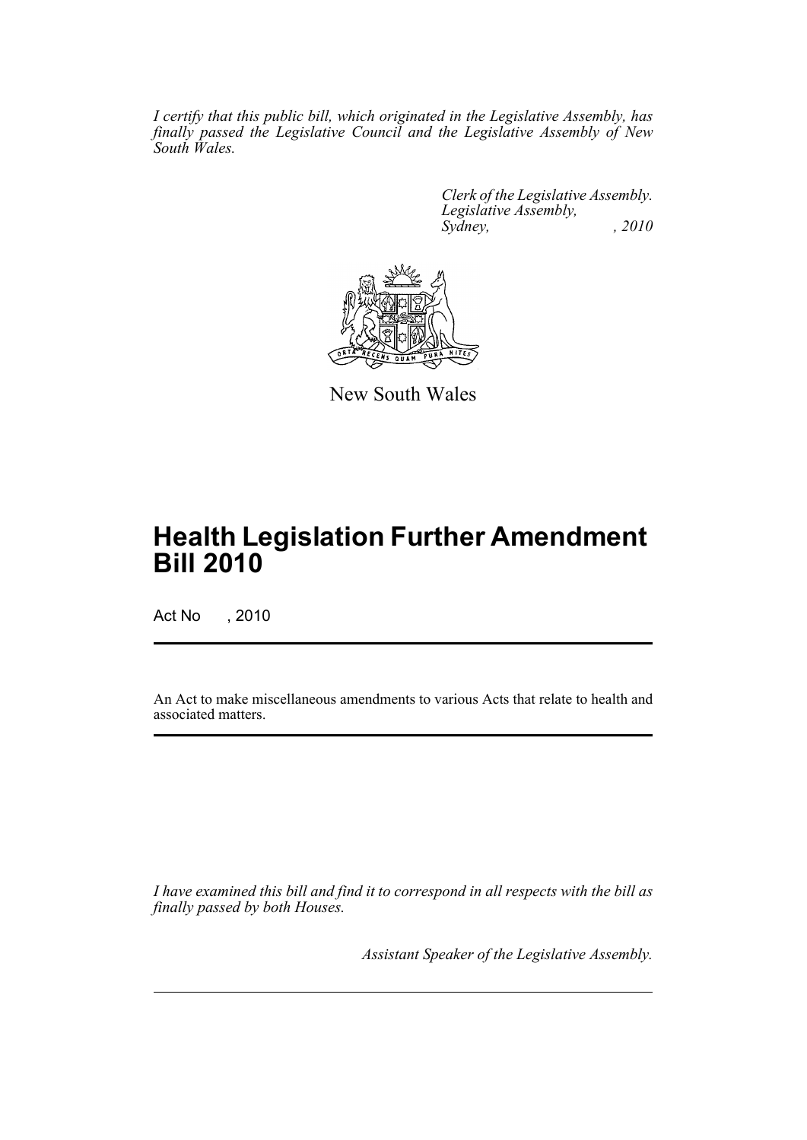*I certify that this public bill, which originated in the Legislative Assembly, has finally passed the Legislative Council and the Legislative Assembly of New South Wales.*

> *Clerk of the Legislative Assembly. Legislative Assembly, Sydney,* , 2010



New South Wales

# **Health Legislation Further Amendment Bill 2010**

Act No , 2010

An Act to make miscellaneous amendments to various Acts that relate to health and associated matters.

*I have examined this bill and find it to correspond in all respects with the bill as finally passed by both Houses.*

*Assistant Speaker of the Legislative Assembly.*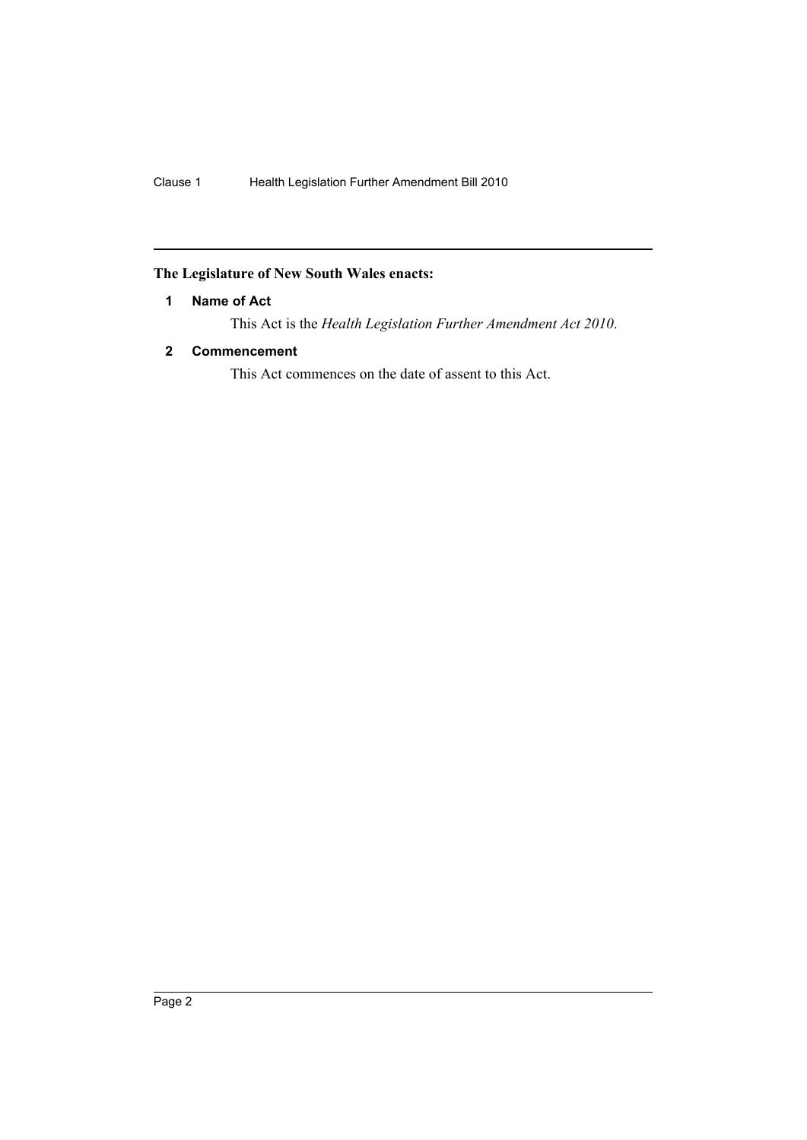## <span id="page-2-0"></span>**The Legislature of New South Wales enacts:**

### **1 Name of Act**

This Act is the *Health Legislation Further Amendment Act 2010*.

### <span id="page-2-1"></span>**2 Commencement**

This Act commences on the date of assent to this Act.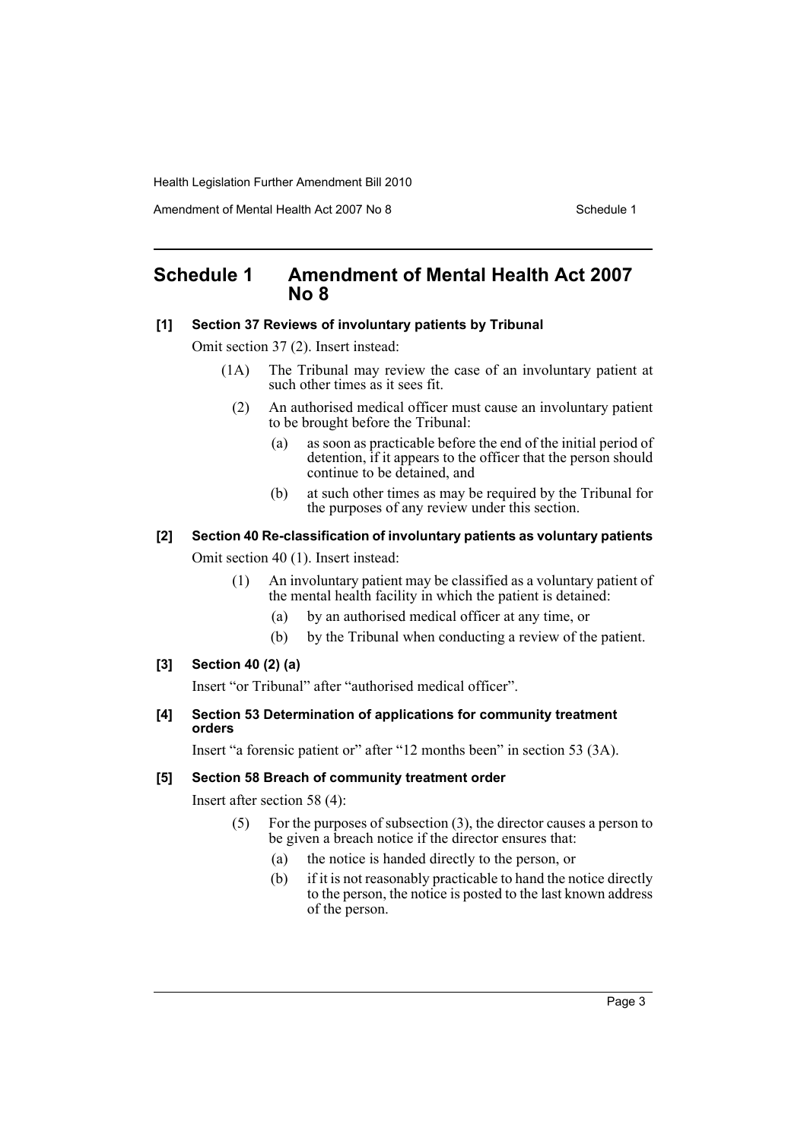Amendment of Mental Health Act 2007 No 8 Schedule 1

## <span id="page-3-0"></span>**Schedule 1 Amendment of Mental Health Act 2007 No 8**

#### **[1] Section 37 Reviews of involuntary patients by Tribunal**

Omit section 37 (2). Insert instead:

- (1A) The Tribunal may review the case of an involuntary patient at such other times as it sees fit.
	- (2) An authorised medical officer must cause an involuntary patient to be brought before the Tribunal:
		- (a) as soon as practicable before the end of the initial period of detention, if it appears to the officer that the person should continue to be detained, and
		- (b) at such other times as may be required by the Tribunal for the purposes of any review under this section.

#### **[2] Section 40 Re-classification of involuntary patients as voluntary patients**

Omit section 40 (1). Insert instead:

- (1) An involuntary patient may be classified as a voluntary patient of the mental health facility in which the patient is detained:
	- (a) by an authorised medical officer at any time, or
	- (b) by the Tribunal when conducting a review of the patient.

#### **[3] Section 40 (2) (a)**

Insert "or Tribunal" after "authorised medical officer".

#### **[4] Section 53 Determination of applications for community treatment orders**

Insert "a forensic patient or" after "12 months been" in section 53 (3A).

#### **[5] Section 58 Breach of community treatment order**

Insert after section 58 (4):

- (5) For the purposes of subsection (3), the director causes a person to be given a breach notice if the director ensures that:
	- (a) the notice is handed directly to the person, or
	- (b) if it is not reasonably practicable to hand the notice directly to the person, the notice is posted to the last known address of the person.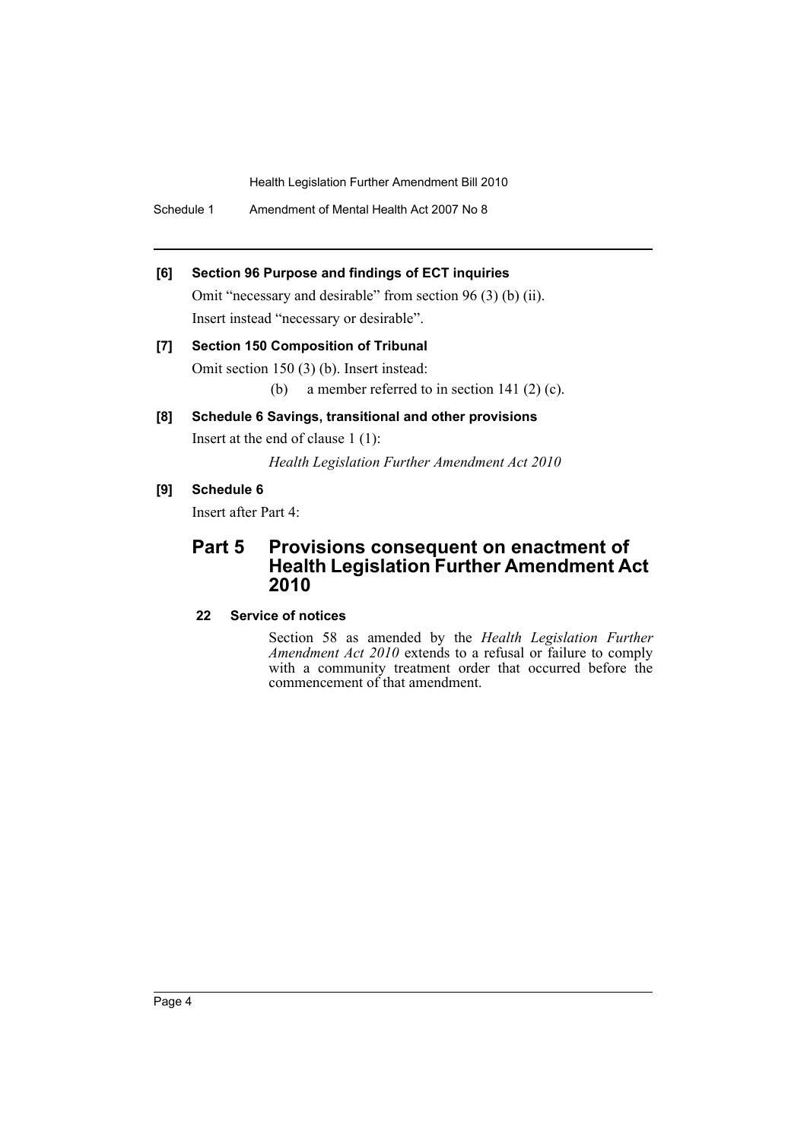Schedule 1 Amendment of Mental Health Act 2007 No 8

#### **[6] Section 96 Purpose and findings of ECT inquiries**

Omit "necessary and desirable" from section 96 (3) (b) (ii). Insert instead "necessary or desirable".

# **[7] Section 150 Composition of Tribunal** Omit section 150 (3) (b). Insert instead:

(b) a member referred to in section 141 (2) (c).

## **[8] Schedule 6 Savings, transitional and other provisions**

Insert at the end of clause 1 (1):

*Health Legislation Further Amendment Act 2010*

**[9] Schedule 6**

Insert after Part 4:

# **Part 5 Provisions consequent on enactment of Health Legislation Further Amendment Act 2010**

**22 Service of notices**

Section 58 as amended by the *Health Legislation Further Amendment Act 2010* extends to a refusal or failure to comply with a community treatment order that occurred before the commencement of that amendment.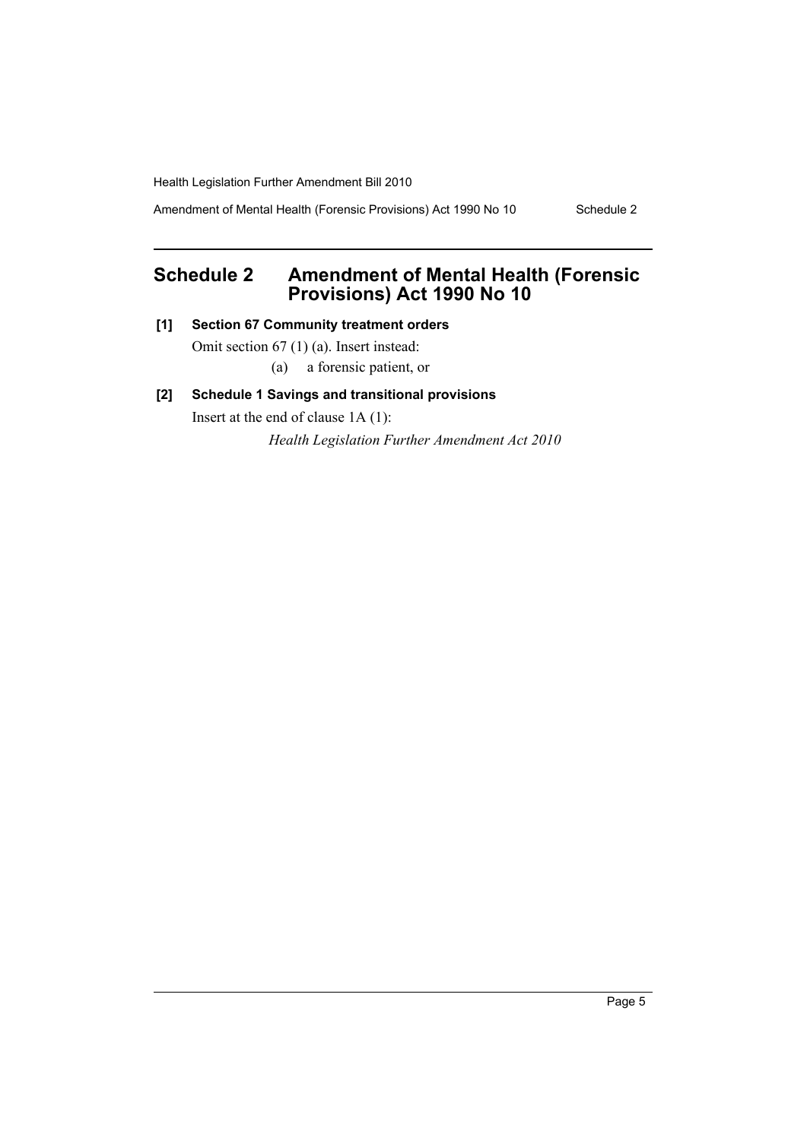Amendment of Mental Health (Forensic Provisions) Act 1990 No 10 Schedule 2

# <span id="page-5-0"></span>**Schedule 2 Amendment of Mental Health (Forensic Provisions) Act 1990 No 10**

**[1] Section 67 Community treatment orders**

Omit section 67 (1) (a). Insert instead:

(a) a forensic patient, or

### **[2] Schedule 1 Savings and transitional provisions**

Insert at the end of clause 1A (1):

*Health Legislation Further Amendment Act 2010*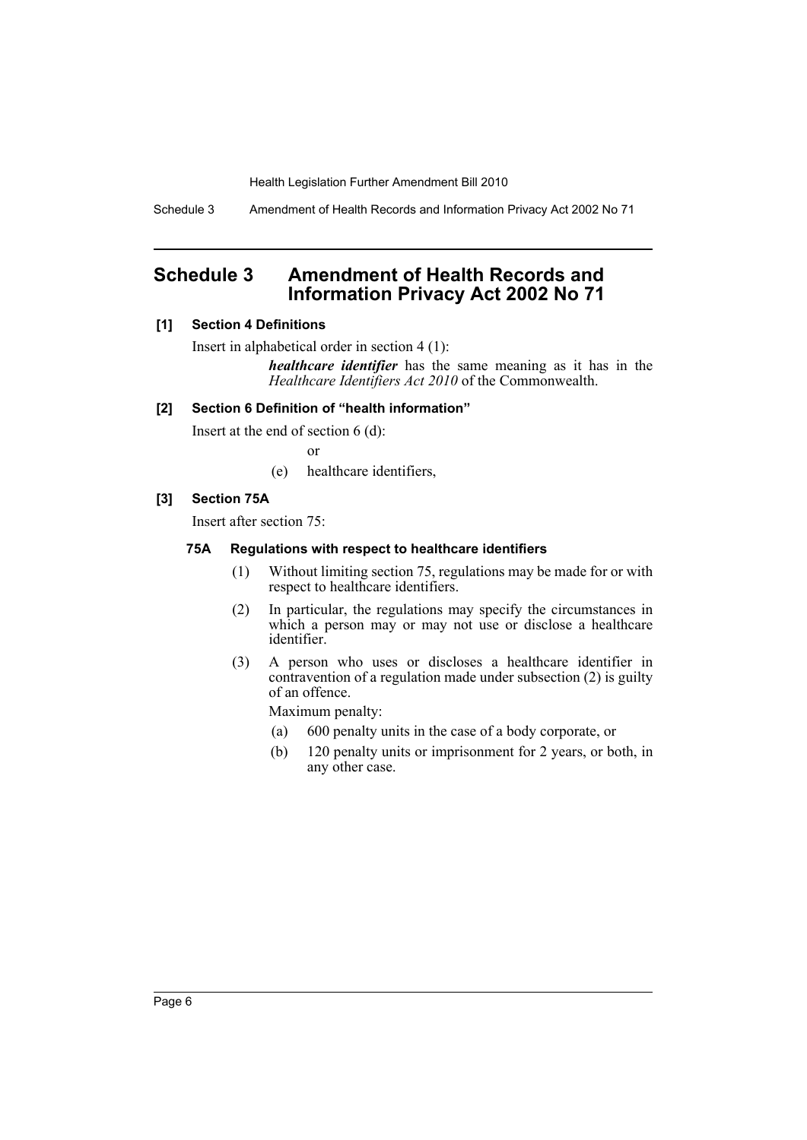Schedule 3 Amendment of Health Records and Information Privacy Act 2002 No 71

# <span id="page-6-0"></span>**Schedule 3 Amendment of Health Records and Information Privacy Act 2002 No 71**

### **[1] Section 4 Definitions**

Insert in alphabetical order in section 4 (1):

*healthcare identifier* has the same meaning as it has in the *Healthcare Identifiers Act 2010* of the Commonwealth.

### **[2] Section 6 Definition of "health information"**

Insert at the end of section 6 (d):

or

(e) healthcare identifiers,

### **[3] Section 75A**

Insert after section 75:

#### **75A Regulations with respect to healthcare identifiers**

- (1) Without limiting section 75, regulations may be made for or with respect to healthcare identifiers.
- (2) In particular, the regulations may specify the circumstances in which a person may or may not use or disclose a healthcare identifier.
- (3) A person who uses or discloses a healthcare identifier in contravention of a regulation made under subsection (2) is guilty of an offence.

Maximum penalty:

- (a) 600 penalty units in the case of a body corporate, or
- (b) 120 penalty units or imprisonment for 2 years, or both, in any other case.